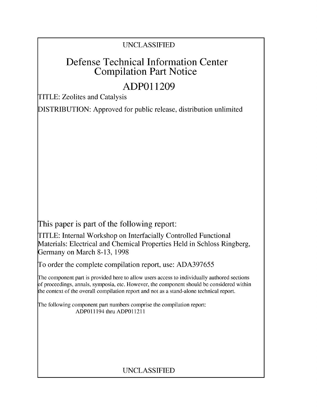## UNCLASSIFIED

# Defense Technical Information Center Compilation Part Notice

# **ADPO 11209**

TITLE: Zeolites and Catalysis

DISTRIBUTION: Approved for public release, distribution unlimited

This paper is part of the following report:

TITLE: Internal Workshop on Interfacially Controlled Functional Materials: Electrical and Chemical Properties Held in Schloss Ringberg, Germany on March 8-13, 1998

To order the complete compilation report, use: ADA397655

The component part is provided here to allow users access to individually authored sections f proceedings, annals, symposia, etc. However, the component should be considered within [he context of the overall compilation report and not as a stand-alone technical report.

The following component part numbers comprise the compilation report: ADPO11194 thru ADP011211

## UNCLASSIFIED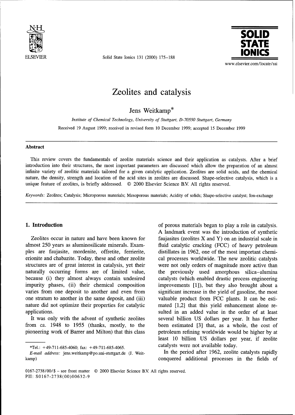

ELSEVIER Solid State Ionics 131 (2000) 175-188



www.elsevier.com/locate/ssi

### Zeolites and catalysis

Jens Weitkamp\*

*Institute of Chemical Technology, University of Stuttgart, D- 70550 Stuttgart, Germany*

Received 19 August 1999; received in revised form 10 December 1999; accepted 15 December 1999

### Abstract

This review covers the fundamentals of zeolite materials science and their application as catalysts. After a brief introduction into their structures, the most important parameters are discussed which allow the preparation of an almost infinite variety of zeolitic materials tailored for a given catalytic application. Zeolites are solid acids, and the chemical nature, the density, strength and location of the acid sites in zeolites are discussed. Shape-selective catalysis, which is a unique feature of zeolites, is briefly addressed. © 2000 Elsevier Science BY All rights reserved.

*Keywords:* Zeolites; Catalysis; Microporous materials; Mesoporous materials; Acidity of solids; Shape-selective catalyst; Ion-exchange

almost 250 years as aluminosilicate minerals. Exam- fluid catalytic cracking (FCC) of heavy petroleum ples are faujasite, mordenite, offretite, ferrierite, distillates in 1962, one of the most important chemierionite and chabazite. Today, these and other zeolite cal processes worldwide. The new zeolitic catalysts structures are of great interest in catalysis, yet their were not only orders of magnitude more active than naturally occurring forms are of limited value, the previously used amorphous silica-alumina because (i) they almost always contain undesired catalysts (which enabled drastic process engineering impurity phases, (ii) their chemical composition improvements [1]), but they also brought about a varies from one deposit to another and even from significant increase in the yield of gasoline, the most one stratum to another in the same deposit, and (iii) valuable product from FCC plants. It can be estinature did not optimize their properties for catalytic mated [1,2] that this yield enhancement alone reapplications. The subset of a sulted in an added value in the order of at least

from ca. 1948 to 1955 (thanks, mostly, to the been estimated [3] that, as a whole, the cost of pioneering work of Barrer and Milton) that this class petroleum refining worldwide would be higher by at

**1. Introduction 1. Introduction** of porous materials began to play a role in catalysis. **A** landmark event was the introduction of synthetic Zeolites occur in nature and have been known for faujasites (zeolites X and Y) on an industrial scale in It was only with the advent of synthetic zeolites several billion US dollars per year. It has further least 10 billion US dollars per year, if zeolite \*Tel.: +49-711-685-4060; fax: +49-711-685-4065. catalysts were not available today.

*E-mail address:* jens.weitkamp@po.uni-stuttgart.de (J. Weit- In the period after 1962, zeolite catalysts rapidly kamp) conquered additional processes in the fields of

<sup>0167-2738/00/\$ -</sup> see front matter © 2000 Elsevier Science B.V. All rights reserved. PII: S0167-2738(00)00632-9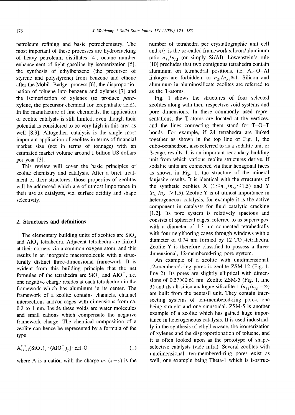most important of these processes are hydrocracking and  $x/y$  is the so-called framework silicon/aluminum of heavy petroleum distillates [4], octane number ratio  $n_{\rm Si}/n_{\rm Al}$  (or simply Si/Al). Löwenstein's rule enhancement of light gasoline by isomerization [5], [10] precludes that two contiguous tetrahedra contain the synthesis of ethylbenzene (the precursor of aluminum on tetrahedral positions, i.e. AI-O-A1 styrene and polystyrene) from benzene and ethene linkages are forbidden, or  $n_{\rm Si}/n_{\rm Al} \ge 1$ . Silicon and after the Mobil-Badger process [6], the disproportio- aluminum in aluminosilicate zeolites are referred to nation of toluene into benzene and xylenes [7] and as the T-atoms. the isomerization of xylenes (to produce *para-* Fig. 1 shows the structures of four selected xylene, the precursor chemical for terephthalic acid). zeolites along with their respective void systems and In the manufacture of fine chemicals, the application pore dimensions. In these commonly used repreof zeolite catalysts is still limited, even though their sentations, the T-atoms are located at the vertices, potential is considered to be very high in this area as and the lines connecting them stand for T-O-T well [8,9]. Altogether, catalysis is the single most bonds. For example, if 24 tetrahedra are linked important application of zeolites in terms of financial together as shown in the top line of Fig. 1, the market size (not in terms of tonnage) with an cubo-octahedron, also referred to as a sodalite unit or estimated market volume around 1 billion US dollars [3-cage, results. It is an important secondary building per year [3]. unit from which various zeolite structures derive. If

zeolite chemistry and catalysis. After a brief treat- as shown in Fig. 1, the structure of the mineral will be addressed which are of utmost importance in the synthetic zeolites X  $(1 \le n_{si}/n_{Ai} \le 1.5)$  and Y their use as catalysts, viz. surface acidity and shape  $(n<sub>s</sub>/n<sub>A1</sub> > 1.5)$ . Zeolite Y is of utmost importance in selectivity, heterogeneous catalysis, for example it is the active

and AlO<sub>4</sub> tetrahedra. Adjacent tetrahedra are linked at their corners via a common oxygen atom, and this Zeolite Y is therefore classified to possess a three-<br>results in an inorganic macromolecule with a structure dimensional, 12-membered-ring pore system. results in an inorganic macromolecule with a struc-<br>turally distinct three-dimensional framework. It is a cample of a zeolite with unidimensional, turally distinct three-dimensional framework. It is An example of a zeolite with unidimensional,<br>evident from this building principle that the net 12-membered-ring pores is zeolite ZSM-12 (Fig. 1, evident from this building principle that the net  $\frac{12\text{-membered-ring pores is zeolite ZSM-12 (Fig. 1, 1)}{12\text{- number of the tetrahedra are SiO, and AIO}$  = 1.1. Its pores are slightly elliptical with dimenformulae of the tetrahedra are  $SiO<sub>2</sub>$  and  $AlO<sub>2</sub><sup>-</sup>$ , i.e. one negative charge resides at each tetrahedron in the sions of  $0.57 \times 0.61$  nm. Zeolite ZSM-5 (Fig. 1, line framework which has aluminum in its center. The 3) and its all-silica analogue silicalite-1  $(n_{\rm Si}/n_{\rm Al} = \infty)$ framework which has aluminum in its center. The framework of a zeolite contains channels, channel are built from the pentasil unit. They contain inter-<br>intersections and/or cages with dimensions from ca intersections and/or cages with dimensions from ca. 0.2 to 1 nm. Inside these voids are water molecules being straight and one sinusoidal. ZSM-5 is another and small cations which compensate the negative example of a zeolite which has gained huge imporframework charge. The chemical composition of a<br>results can be represented by a formula of the ly in the synthesis of ethylbenzene, the isomerization zeolite can hence be represented by a formula of the

$$
A_{\gamma/m}^{m+}[(SiO_2)_{\chi} \cdot (AlO_2^-)_{\gamma}] \cdot zH_2O \tag{1}
$$

petroleum refining and basic petrochemistry. The number of tetrahedra per crystallographic unit cell

This review will cover the basic principles of sodalite units are connected via their hexagonal faces ment of their structures, those properties of zeolites faujasite results. It is identical with the structures of component in catalysts for fluid catalytic cracking [1,2]. Its pore system is relatively spacious and 2. Structures and definitions consists of spherical cages, referred to as supercages, with a diameter of 1.3 nm connected tetrahedrally The elementary building units of zeolites are  $SiO<sub>4</sub>$  with four neighboring cages through windows with a<br>d AlQ, tetrahedra. Adjacent tetrahedra are linked diameter of 0.74 nm formed by 12 TO<sub>4</sub>-tetrahedra.

type of xylenes and the disproportionation of toluene, and it is often looked upon as the prototype of shapeselective catalysts (vide infra). Several zeolites with unidimensional, ten-membered-ring pores exist as where A is a cation with the charge  $m$ ,  $(x+y)$  is the well, one example being Theta-1 which is isostruc-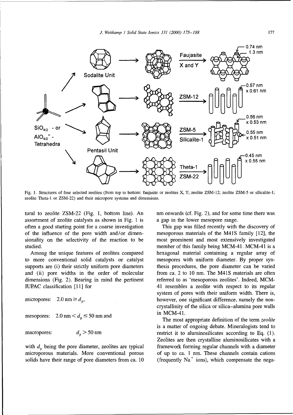

Fig. 1. Structures of four selected zeolites (from top to bottom: faujasite or zeolites X, Y; zeolite ZSM-12; zeolite ZSM-5 or silicalite-1; zeolite Theta-1 or ZSM-22) and their micropore systems and dimensions.

assortment of zeolite catalysts as shown in Fig. 1 is a gap in the lower mesopore range. often a good starting point for a coarse investigation This gap was filled recently with the discovery of of the influence of the pore width and/or dimen- mesoporous materials of the M41S family [12], the sionality on the selectivity of the reaction to be most prominent and most extensively investigated studied. The studied is the member of this family being MCM-41. MCM-41 is a studied.

to more conventional solid catalysts or catalyst mesopores with uniform diameter. By proper synsupports are (i) their strictly uniform pore diameters thesis procedures, the pore diameter can be varied and (ii) pore widths in the order of molecular from ca. 2 to 10 nm. The M41S materials are often dimensions (Fig. 2). Bearing in mind the pertinent referred to as 'mesoporous zeolites'. Indeed, MCM-IUPAC classification [11] for 41 resembles a zeolite with respect to its regular

mesopores: 
$$
2.0 \text{ nm} < d_p \leq 50 \text{ nm}
$$
 and

microporous materials. More conventional porous of up to ca. 1 nm. These channels contain cations solids have their range of pore diameters from ca.  $10$  (frequently Na<sup>+</sup> ions), which compensate the nega-

tural to zeolite ZSM-22 (Fig. 1, bottom line). An nm onwards (cf. Fig. 2), and for some time there was

Among the unique features of zeolites compared hexagonal material containing a regular array of system of pores with their uniform width. There is, micropores:  $2.0 \text{ nm} \ge d_p$ , however, one significant difference, namely the noncrystallinity of the silica or silica-alumina pore walls in MCM-41.

The most appropriate definition of the term *zeolite* is a matter of ongoing debate. Mineralogists tend to macropores:  $d_p > 50$  nm restrict it to aluminosilicates according to Eq. (1). Zeolites are then crystalline aluminosilicates with a with  $d<sub>p</sub>$  being the pore diameter, zeolites are typical framework forming regular channels with a diameter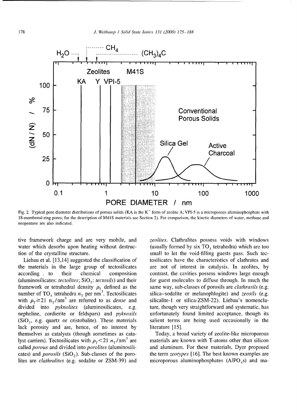

Fig. 2. Typical pore diameter distributions of porous solids (KA is the K<sup>+</sup> form of zeolite A; VPI-5 is a microporous aluminophosphate with 18-membered-ring pores; for the description of M41S materials see Section 2). For comparison, the kinetic diameters of water, methane and neopentane are also indicated.

tive framework charge and are very mobile, and water which desorbs upon heating without destruction of the crystalline structure.

Liebau et al. [13,14] suggested the classification of the materials in the large group of tectosilicates chemical according to their composition (aluminosilicates: *tectolites*;  $SiO<sub>2</sub>$ : *tectosils*) and their framework or tetrahedral density  $\rho_{T_{\alpha}}$  defined as the number of TO<sub>4</sub> tetrahedra  $n_T$  per nm<sup>3</sup>. Tectosilicates with  $\rho_{\rm r} \geq 21$  n<sub>T</sub>/nm<sup>3</sup> are referred to as *dense* and divided into *pyknolites* (aluminosilicates,  $e.g.$ nepheline, cordierite or feldspars) and pyknosils  $(SiO<sub>2</sub>, e.g.$  quartz or cristobalite). These materials lack porosity and are, hence, of no interest by themselves as catalysts (though sometimes as catalyst carriers). Tectosilicates with  $\rho_{\rm T}$  < 21  $n_{\rm T}/\text{nm}^3$  are called *porous* and divided into *porolites* (aluminosilicates) and *porosils* (SiO<sub>2</sub>). Sub-classes of the porolites are *clathralites* (e.g. sodalite or ZSM-39) and

zeolites. Clathralites possess voids with windows (usually formed by six TO<sub>4</sub> tetrahedra) which are too small to let the void-filling guests pass. Such tectosilicates have the characteristics of clathrates and are not of interest in catalysis. In zeolites, by contrast, the cavities possess windows large enough for guest molecules to diffuse through. In much the same way, sub-classes of porosils are *clathrasils* (e.g. silica-sodalite or melanophogite) and *zeosils* (e.g. silicalite-1 or silica-ZSM-22). Liebau's nomenclature, though very straightforward and systematic, has unfortunately found limited acceptance, though its salient terms are being used occasionally in the literature [15].

Today, a broad variety of zeolite-like microporous materials are known with T-atoms other than silicon and aluminum. For these materials, Dyer proposed the term *zeotypes* [16]. The best known examples are microporous aluminophosphates  $(AIPO<sub>4</sub>s)$  and ma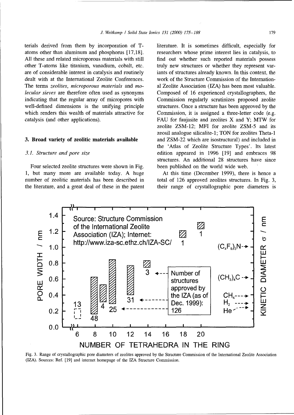atoms other than aluminum and phosphorus [17,18]. researchers whose prime interest lies in catalysis, to All these and related microporous materials with still find out whether such reported materials possess other T-atoms like titanium, vanadium, cobalt, etc. truly new structures or whether they represent varare of considerable interest in catalysis and routinely iants of structures already known. In this context, the dealt with at the International Zeolite Conferences. work of the Structure Commission of the Internation-The terms *zeolites, microporous materials* and *mo-* al Zeolite Association (IZA) has been most valuable. *lecular sieves* are therefore often used as synonyms Composed of 16 experienced crystallographers, the indicating that the regular array of micropores with Commission regularly scrutinizes proposed zeolite well-defined dimensions is the unifying principle structures. Once a structure has been approved by the which renders this wealth of materials attractive for Commission, it is assigned a three-letter code (e.g. catalysis (and other applications). FAU for faujasite and zeolites X and Y; MTW for

Four selected zeolite structures were shown in Fig. been published on the world wide web. 1, but many more are available today. A huge At this time (December 1999), there is hence a number of zeolitic materials has been described in total of 126 approved zeolites structures. In Fig. 3, the literature, and a great deal of these in the patent their range of crystallographic pore diameters is

terials derived from them by incorporation of T- literature. It is sometimes difficult, especially for zeolite ZSM-12; MFI for zeolite ZSM-5 and its zeosil analogue silicalite-1; TON for zeolites Theta-1 **3.** Broad variety of zeolitic materials available and ZSM-22 which are isostructural) and included in the 'Atlas of Zeolite Structure Types'. Its latest *3.1. Structure and pore size* edition appeared in 1996 [19] and embraces 98 structures. An additional 28 structures have since



Fig. 3. Range of crystallographic pore diameters of zeolites approved by the Structure Commission of the International Zeolite Association (IZA). Sources: Ref. [19] and internet homepage of the IZA Structure Commission.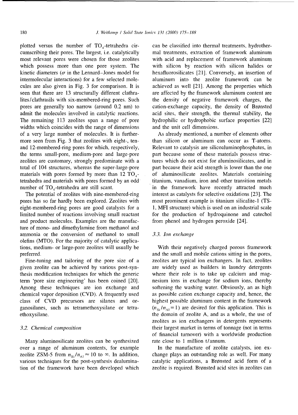cumscribing their pores. The largest, i.e. catalytically mal treatments, extraction of framework aluminum most relevant pores were chosen for those zeolites with acid and replacement of framework aluminum which possess more than one pore system. The with silicon by reaction with silicon halides or intermolecular interactions) for a few selected mole- aluminum into the zeolite framework can be cules are also given in Fig. 3 for comparison. It is achieved as well [21]. Among the properties which seen that there are 13 structurally different clathra- are affected by the framework aluminum content are lites/clathrasils with six-membered-ring pores. Such the density of negative framework charges, the pores are generally too narrow (around 0.2 nm) to cation-exchange capacity, the density of Bronsted admit the molecules involved in catalytic reactions, acid sites, their strength, the thermal stability, the The remaining 113 zeolites span a range of pore hydrophilic or hydrophobic surface properties [22] widths which coincides with the range of dimensions and the unit cell dimensions. of a very large number of molecules. It is further- As already mentioned, a number of elements other more seen from Fig. 3 that zeolites with eight-, ten- than silicon or aluminum can occur as T-atoms. the terms small-pore, medium-pore and large-pore part because some of these materials possess struczeolites are customary, strongly predominate with a tures which do not exist for aluminosilicates, and in total of 104 structures, whereas the super-large-pore part because their acid strength is lower than the one tetrahedra and materials with pores formed by an odd titanium, vanadium, iron and other transition metals number of  $TO<sub>4</sub>$ -tetrahedra are still scant. in the framework have recently attracted much

pores has so far hardly been explored. Zeolites with most prominent example is titanium silicalite-1 (TSeight-membered-ring pores are good catalysts for a 1, MFI structure) which is used on an industrial scale limited number of reactions involving small reactant for the production of hydroquinone and catechol and product molecules. Examples are the manufac- from phenol and hydrogen peroxide [24]. ture of mono- and dimethylamine from methanol and ammonia or the conversion of methanol to small *3.3. Ion exchange* olefins (MTO). For the majority of catalytic applications, medium- or large-pore zeolites will usually be With their negatively charged porous framework preferred. and the small and mobile cations sitting in the pores,

given zeolite can be achieved by various post-syn- are widely used as builders in laundry detergents thesis modification techniques for which the generic where their role is to take up calcium and magterm 'pore size engineering' has been coined [20]. nesium ions in exchange for sodium ions, thereby chemical vapor deposition (CVD). A frequently used as possible cation exchange capacity and, hence, the class of CVD precursors are silanes and or- highest possible aluminum content in the framework ganosilanes, such as tetramethoxysilane or tetra-  $(n_{\rm s}/n_{\rm Al}=1)$  are desired for this application. This is ethoxysilane. the domain of zeolite A, and as a whole, the use of

Many aluminosilicate zeolites can be synthesized rate close to 1 million t/annum. over a range of aluminum contents, for example In the manufacture of zeolite catalysts, ion ex-

plotted versus the number of  $TO<sub>4</sub>$ -tetrahedra cir- can be classified into thermal treatments, hydrotherkinetic diameters ( $\sigma$  in the Lennard-Jones model for hexafluorosilicates [21]. Conversely, an insertion of

and 12-membered-ring pores for which, respectively, Relevant to catalysis are silicoaluminophosphates, in materials with pores formed by more than 12  $TO<sub>4</sub>$  of aluminosilicate zeolites. Materials containing The potential of zeolites with nine-membered-ring interest as catalysts for selective oxidations [23]. The

Fine-tuning and tailoring of the pore size of a zeolites are typical ion exchangers. In fact, zeolites Among these techniques are ion exchange and softening the washing water. Obviously, an as high zeolites as ion exchangers in detergents represents *3.2. Chemical composition* their largest market in terms of tonnage (not in terms of financial turnover) with a worldwide production

zeolite ZSM-5 from  $n_{si}/n_{Ai} \approx 10$  to  $\infty$ . In addition, change plays an outstanding role as well. For many various techniques for the post-synthesis dealumina- catalytic applications, a Bronsted acid form of a tion of the framework have been developed which zeolite is required. Bronsted acid sites in zeolites can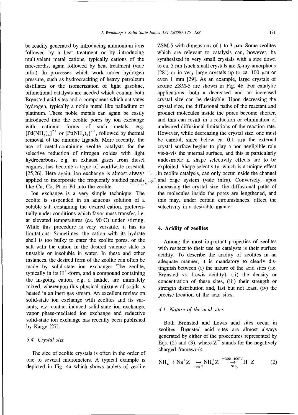followed by a heat treatment or by introducing which are relevant to catalysis can, however, be multivalent metal cations, typically cations of the synthesized in very small crystals with a size down rare-earths, again followed by heat treatment (vide to ca. 5 nm (such small crystals are X-ray-amorphous infra). In processes which work under hydrogen [28]) or in very large crystals up to ca. 100  $\mu$ m or pressure, such as hydrocracking of heavy petroleum even 1 mm [29]. As an example, large crystals of distillates or the isomerization of light gasoline, zeolite ZSM-5 are shown in Fig. 4b. For catalytic bifunctional catalysts are needed which contain both applications, both a decreased and an increased Brønsted acid sites and a component which activates crystal size can be desirable: Upon decreasing the hydrogen, typically a noble metal like palladium or crystal size, the diffusional paths of the reactant and platinum. These noble metals can again be easily product molecules inside the pores become shorter, introduced into the zeolite pores by ion exchange and this can result in a reduction or elimination of with cationic forms of such metals, e.g. undesired diffusional limitations of the reaction rate.  $[Pd(NH_3)_4]^2$ <sup>+</sup> or  $[Pt(NH_3)_4]^2$ <sup>+</sup>, followed by thermal However, while decreasing the crystal size, one must removal of the ammine ligands. More recently, the be careful, since below ca.  $0.1 \mu m$  the external use of metal-containing zeolite catalysts for the crystal surface begins to play a non-negligible role selective reduction of nitrogen oxides with light vis-à-vis the internal surface, and this is particularly hydrocarbons, e.g. in exhaust gases from diesel undesirable if shape selectivity effects are to be engines, has become a topic of worldwide research exploited. Shape selectivity, which is a unique effect [25,26]. Here again, ion exchange is almost always in zeolite catalysis, can only occur inside the channel applied to incorporate the frequently studied metals and cage system (vide infra). Conversely, upon like Cu, Co, Pt or Pd into the zeolite. increasing the crystal size, the diffusional paths of

zeolite is suspended in an aqueous solution of a this may, under certain circumstances, affect the soluble salt containing the desired cation, preferen- selectivity in a desirable manner. tially under conditions which favor mass transfer, i.e. at elevated temperatures (ca. 90'C) under stirring. While this procedure is very versatile, it has its **4. Acidity of zeolites** limitations: Sometimes, the cation with its hydrate shell is too bulky to enter the zeolite pores, or the Among the most important properties of zeolites salt with the cation in the desired valence state is with respect to their use as catalysts is their surface unstable or insoluble in water. In these and other acidity. To describe the acidity of zeolites in an instances, the desired form of the zeolite can often be adequate manner, it is mandatory to clearly dismade by solid-state ion exchange: The zeolite, tinguish between (i) the nature of the acid sites (i.e. typically in its  $H^+$ -form, and a compound containing Bronsted vs. Lewis acidity), (ii) the density or the in-going cation, e.g. a halide, are intimately concentration of these sites, (iii) their strength or mixed, whereupon this physical mixture of solids is strength distribution and, last but not least, (iv) the heated in an inert gas stream. An excellent review on precise location of the acid sites. solid-state ion exchange with zeolites and its variants, viz. contact-induced solid-state ion exchange, *4.1. Nature of the acid sites* vapor phase-mediated ion exchange and reductive solid-state ion exchange has recently been published<br>Both Brønsted and Lewis acid sites occur in

The size of zeolite crystals is often in the order of charged framework: one to several micrometers. A typical example is depicted in Fig. 4a which shows tablets of zeolite

be readily generated by introducing ammonium ions  $ZSM-5$  with dimensions of 1 to 3  $\mu$ m. Some zeolites Ion exchange is a very simple technique: The the molecules inside the pores are lengthened, and

by Karge [27].<br>zeolites. Brønsted acid sites are almost always *3.4. Crystal size* generated by either of the procedures represented by  $\frac{1}{2}$ . Crystal size Eqs. (2) and (3), where  $Z^-$  stands for the negatively

$$
NH_4^+ + Na^+Z^- \underset{-Na^+}{\rightarrow} NH_4^+Z^{-\approx 300-400^{\circ}\text{C}}H^+Z^- \qquad (2)
$$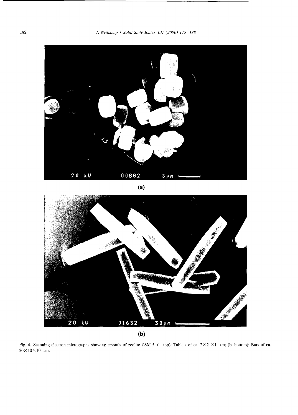

 $(a)$ 



Fig. 4. Scanning electron micrographs showing crystals of zeolite ZSM-5. (a, top): Tablets of ca.  $2 \times 2 \times 1$  µm; (b, bottom): Bars of ca.  $80 \times 10 \times 10 \mu m$ .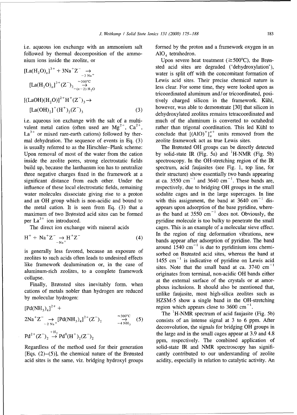followed by thermal decomposition of the ammo- $AIO<sub>4</sub>$  tetrahedron.<br>nium ions inside the zeolite. or Upon severe he

$$
[La(H2O)n]3+ + 3Na+Z- \rightarrow-3 Na+\n[La(H2O)n]3+(Z-)3 \approx 300°C-(n-2) H2O\n[(LaOH)(H2O)]2+H+(Z-)3 \rightarrow\n[La(OH)2]+(H+)2(Z-)3
$$
\n(3)

i.e. aqueous ion exchange with the salt of a multi-<br>valent metal cation (often used are  $Mg^{2+}$ ,  $Ca^{2+}$ , rather than trigonal coordination. This led Kühl to valent metal cation (often used are  $Mg^{2+}$ ,  $Ca^{2+}$ ,  $La^{3+}$  or mixed rare-earth cations) followed by thermal dehydration. The sequence of events in Eq.  $(3)$ is usually referred to as the Hirschler-Plank scheme: The Bronsted OH groups can be directly detected Upon removal of most of the water from the cation by solid-state IR (Fig. 5a) and 'H-NMR (Fig. **5b)** inside the zeolite pores, strong electrostatic fields spectroscopy. In the OH-stretching region of the IR build up, because the lanthanum ion has to neutralize spectrum, acid faujasites (see Fig. 1, top line, for three negative charges fixed in the framework at a their structure) show essentially two bands appearing significant distance from each other. Under the at ca. 3550 cm<sup>-1</sup> and 3640 cm<sup>-1</sup>. These bands are, influence of these local electrostatic fields, remaining respectively, due to bridging OH groups in the small water molecules dissociate giving rise to a proton sodalite cages and in the large supercages. In line and an OH group which is non-acidic and bound to with this assignment, the band at  $3640 \text{ cm}^{-1}$  disthe metal cation. It is seen from Eq. (3) that a appears upon adsorption of the base pyridine, wheremaximum of two Brønsted acid sites can be formed as the band at  $3550 \text{ cm}^{-1}$  does not. Obviously, the per La<sup>3+</sup> ion introduced.

$$
H^{+} + Na^{+}Z^{-} \underset{-Na^{+}}{\rightarrow} H^{+}Z^{-}
$$
 (4)

zeolities to such acids often leads to undesired effects  $1455 \text{ cm}^{-1}$  is indicative of pyridine on Lewis acid like framework dealumination or, in the case of sites. Note that the small band at ca. 3740 cm<sup>-1</sup> aluminum-rich zeolites, to a complete framework

cations of metals nobler than hydrogen are reduced unlike faujasite, most high-silica zeolites such as

$$
[Pd(NH3)4]2+ +
$$
  
\n
$$
2Na+Z- \rightarrow [Pd(NH3)4]2+(Z-)2 \rightarrow
$$
<sup>300°C</sup><sub>-4NH<sub>3</sub> (5)  
\n
$$
Pd2+(Z-)2 \rightarrow Pd0(H+)2(Z-)2
$$</sub>

Regardless of the method used for their generation solid-state IR and NMR spectroscopy has signifi- [Eqs. (2)-(5)], the chemical nature of the Bronsted cantly contributed to our understanding of zeolite acid sites is the same, viz. bridging hydroxyl groups acidity, especially in relation to catalytic activity. An

i.e. aqueous ion exchange with an ammonium salt formed by the proton and a framework oxygen in an

Upon severe heat treatment ( $\geq$ 500°C), the Brønsted acid sites are degraded ('dehydroxylation'), water is split off with the concomitant formation of Lewis acid sites. Their precise chemical nature is less clear. For some time, they were looked upon as tricoordinated aluminum and/or tricoordinated, posi tively charged silicon in the framework. Kühl, however, was able to demonstrate [30] that silicon in dehydroxylated zeolites remains tetracoordinated and conclude that  $[(AIO)^+]_n^{n+}$  units removed from the zeolite framework act as true Lewis sites.

pyridine molecule is too bulky to penetrate the small The direct ion exchange with mineral acids cages. This is an example of a molecular sieve effect. In the region of ring deformation vibrations, new bands appear after adsorption of pyridine. The band  $A_{\text{max}}$ <sup>-</sup><br>is generally less favored, because an exposure of  $A_{\text{sum}}$  or bed on Pransted and sites whereas the band at is generally less favored, because an exposure of sorbed on Brønsted acid sites, whereas the band at zeolites to such acids often leads to undesired effects  $1.455 \text{ cm}^{-1}$  is indicative of socialize an Lewis said sites. Note that the small band at ca.  $3740 \text{ cm}^{-1}$  originates from terminal, non-acidic OH bands either collapse.<br>at the external surface of the crystals or at amor-Finally, Brønsted sites inevitably form, when phous inclusions. It should also be mentioned that, by molecular hydrogen:<br>HZSM-5 show a single band in the OH-stretching region which appears close to 3600  $cm^{-1}$ .

> The <sup>1</sup>H-NMR spectrum of acid faujasite (Fig. 5b) consists of an intense signal at 3 to 6 ppm. After deconvolution, the signals for bridging OH groups in the large and in the small cages appear at 3.9 and 4.8 ppm, respectively. The combined application of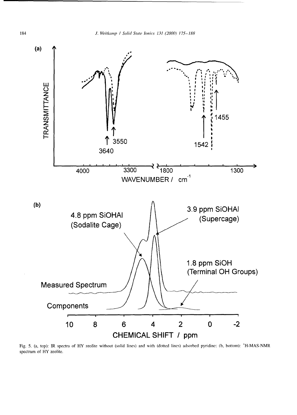

Fig. 5. (a, top): IR spectra of HY zeolite without (solid lines) and with (dotted lines) adsorbed pyridine; (b, bottom): 'H-MAS-NMR spectrum of HY zeolite.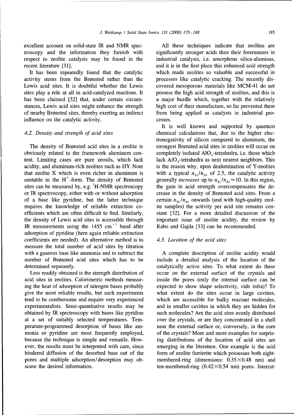excellent account on solid-state IR and NMR spec- All these techniques indicate that zeolites are troscopy and the information they furnish with significantly stronger acids than their forerunners in respect to zeolite catalysis may be found in the industrial catalysis, i.e. amorphous silica-aluminas, recent literature [31]. The same strength and it is in the first place this enhanced acid strength

activity stems from the Brønsted rather than the processes like catalytic cracking. The recently dis-Lewis acid sites. It is doubtful whether the Lewis covered mesoporous materials like MCM-41 do not sites play a role at all in acid-catalyzed reactions. It possess the high acid strength of zeolites, and this is has been claimed [32] that, under certain circum- a major hurdle which, together with the relatively stances, Lewis acid sites might enhance the strength high cost of their manufacture, so far prevented them of nearby Bronsted sites, thereby exerting an indirect from being applied as catalysts in industrial proinfluence on the catalytic activity. cesses.

obviously related to the framework aluminum con-<br>templetely isolated  $AIO<sub>4</sub>$ -tetrahedra, i.e. those which<br>tent. Limiting cases are pure zeosils, which lack  $AIO<sub>4</sub>$ -tetrahedra as next nearest neighbors. This tent. Limiting cases are pure zeosils, which lack acidity, and aluminum-rich zeolites such as HY. Note is the reason why, upon dealumination of Y-zeolites that zeolite X which is even richer in aluminum is with a typical  $n_{\rm Si}/n_{\rm Al}$  of 2.5, the catalytic activity unstable in the H<sup>+</sup>-form. The density of Brønsted generally *increases* up to  $n_{\rm Si}/n_{\rm Si} \approx 10$ . In this r sites can be measured by, e.g.  $H-MMR$  spectroscopy the gain in acid strength overcompensates the deor IR spectroscopy, either with or without adsorption crease in the density of Brønsted acid sites. From a of a base like pyridine, but the latter technique certain  $n_{\rm Si}/n_{\rm Al}$  onwards (and with high-quality zeolrequires the knowledge of reliable extinction co- ite samples) the activity per acid site remains conefficients which are often difficult to find. Similarly, stant [32]. For a more detailed discussion of the the density of Lewis acid sites is accessible through important issue of zeolite acidity, the review by IR measurements using the 1455 cm<sup>-1</sup> band after Rabo and Gajda [33] can be recommended. adsorption of pyridine (here again reliable extinction coefficients are needed). An alternative method is to *4.3. Location of the acid sites* measure the total number of acid sites by titration with a gaseous base like ammonia and to subtract the A complete description of zeolite acidity would number of Bronsted acid sites which has to be include a detailed analysis of the location of the determined separately. The catalytically active sites. To what extent do these

acid sites in zeolites. Calorimetric methods measur- inside the pores (only the internal surface can be ing the heat of adsorption of nitrogen bases probably expected to show shape selectivity, vide infra)? To give the most reliable results, but such experiments what extent do the sites occur in large cavities, tend to be cumbersome and require very experienced which are accessible for bulky reactant molecules, experimentalists. Semi-quantitative results may be and in smaller cavities in which they are hidden for obtained by IR spectroscopy with bases like pyridine such molecules? Are the acid sites evenly distributed at a set of suitably selected temperatures. Tem- over the crystals, or are they concentrated in a shell perature-programmed desorption of bases like am- near the external surface or, conversely, in the core monia or pyridine are most frequently employed, of the crystals? More and more examples for surprisbecause the technique is simple and versatile. How- ing distributions of the location of acid sites are ever, the results must be interpreted with care, since emerging in the literature. One example is the acid hindered diffusion of the desorbed base out of the form of zeolite ferrierite which possesses both eightpores and multiple adsorption/desorption may ob- membered-ring (dimensions:  $0.35 \times 0.48$  nm) and scure the desired information. the ten-membered-ring  $(0.42 \times 0.54 \text{ nm})$  pores. Interest-

It has been repeatedly found that the catalytic which made zeolites so valuable and successful in

It is well known and supported by quantum 4.2. *Density and strength of acid sites* chemical calculations that, due to the higher electronegativity of silicon compared to aluminum, the The density of Bronsted acid sites in a zeolite is strongest Bronsted acid sites in zeolites will occur on generally *increases* up to  $n_{\rm Si}/n_{\rm Al} \approx 10$ . In this region,

Less readily obtained is the strength distribution of occur on the external surface of the crystals and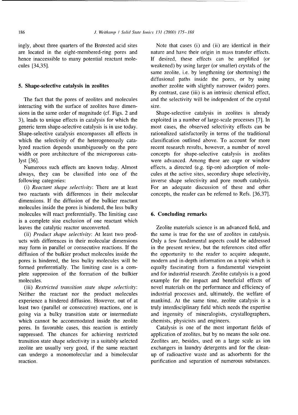ingly, about three quarters of the Brønsted acid sites Note that cases (i) and (ii) are identical in their

interacting with the surface of zeolites have dimen- size. sions in the same order of magnitude (cf. Figs. 2 and Shape-selective catalysis in zeolites is already 3), leads to unique effects in catalysis for which the exploited in a number of large-scale processes [7]. In generic term shape-selective catalysis is in use today. most cases, the observed selectivity effects can be Shape-selective catalysis encompasses all effects in rationalized satisfactorily in terms of the traditional which the selectivity of the heterogeneously cata-<br>classification outlined above. To account for more lyzed reaction depends unambiguously on the pore recent research results, however, a number of novel width or pore architecture of the microporous cata-<br>concepts for shape-selective catalysis in zeolites lyst [36]. were advanced. Among these are cage or window

always, they can be classified into one of the cules at the active sites, secondary shape selectivity, following categories: inverse shape selectivity and pore mouth catalysis.

two reactants with differences in their molecular concepts, the reader can be referred to Refs. [36,37]. dimensions. If the diffusion of the bulkier reactant molecules inside the pores is hindered, the less bulky molecules will react preferentially. The limiting case **6.** Concluding remarks is a complete size exclusion of one reactant which leaves the catalytic reactor unconverted. Zeolite materials science is an advanced field, and

ucts with differences in their molecular dimensions Only a few fundamental aspects could be addressed may form in parallel or consecutive reactions. If the in the present review, but the references cited offer diffusion of the bulkier product molecules inside the the opportunity to the reader to acquire adequate, pores is hindered, the less bulky molecules will be modem and in-depth information on a topic which is formed preferentially. The limiting case is a com- equally fascinating from a fundamental viewpoint plete suppression of the formation of the bulkier and for industrial research. Zeolite catalysis is a good molecules. example for the impact and beneficial effects of

Neither the reactant nor the product molecules industrial processes and, ultimately, the welfare of experience a hindered diffusion. However, out of at mankind. At the same time, zeolite catalysis is a least two (parallel or consecutive) reactions, one is truly interdisciplinary field which needs the expertise going via a bulky transition state or intermediate and ingenuity of mineralogists, crystallographers, which cannot be accommodated inside the zeolite chemists, physicists and engineers. pores. In favorable cases, this reaction is entirely Catalysis is one of the most important fields of suppressed. The chances for achieving restricted application of zeolites, but by no means the sole one. transition state shape selectivity in a suitably selected Zeolites are, besides, used on a large scale as ion zeolite are usually very good, if the same reactant exchangers in laundry detergents and for the cleancan undergo a monomolecular and a bimolecular up of radioactive waste and as adsorbents for the reaction. purification and separation of numerous substances.

are located in the eight-membered-ring pores and nature and have their origin in mass transfer effects. hence inaccessible to many potential reactant mole-<br>If desired, these effects can be amplified (or cules [34,35]. weakened) by using larger (or smaller) crystals of the same zeolite, i.e. by lengthening (or shortening) the diffusional paths inside the pores, or by using 5. Shape-selective catalysis in zeolites another zeolite with slightly narrower (wider) pores. By contrast, case (iii) is an intrinsic chemical effect, The fact that the pores of zeolites and molecules and the selectivity will be independent of the crystal

Numerous such effects are known today. Almost effects, a directed (e.g. tip-on) adsorption of mole-(i) *Reactant shape selectivity:* There are at least For an adequate discussion of these and other

(ii) *Product shape selectivity:* At least two prod- the same is true for the use of zeolites in catalysis. (iii) *Restricted transition state shape selectivity:* novel materials on the performance and efficiency of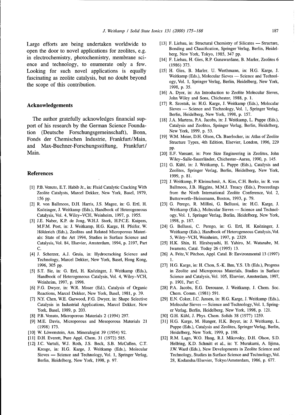open the door to novel applications for zeolites, e.g. Bonding and Classification, Springer Verlag, Berlin, Heidelin electrochemistry, photochemistry, membrane sci-<br>[14] F. Liebau, H. Gies, R.P. Gunawardane, B. Marler, Zeolites 6 ence and technology, to enumerate only a few. (1986) 373. Looking for such novel applications is equally [15] H. Gies, B. Marler, U. Werthmann, in: H.G. Karge, J.<br>
fascinating as zeolite catalysis but no doubt beyond Weitkamp (Eds.), Molecular Sieves – Science and Technolfascinating as zeolite catalysis, but no doubt beyond

The author gratefully acknowledges financial sup- [18] J.A. Martens, P.A. Jacobs, in: J. Weitkamp, L. Puppe (Eds.), port of his research by the German Science Founda- Catalysis and Zeolites, Springer Verlag, Berlin, Heidelberg, tion (Deutsche Forschungsgemeinschaft), Bonn, New York, 1999, p. 53.<br>Englischer Glausischen Industrie Englische (Main [19] W.M. Meier, D.H. Olson, Ch. Baerlocher, in: Atlas of Zeolite Fonds der Chemischen Industrie, Frankfurt/Main, [19] W.M. Meier, D.H. Olson, Ch. Baerlocher, in: Atlas of Zeolite Structure Types, 4th Edition, Elsevier, London, 1996, 229 and Max-Buchner-Forschungsstiftung, Frankfurt/ Main. [20] E.F. Vansant, in: Pore Size Engineering in Zeolites, John

- 156 pp. Butterworth-Heinemann, Boston, 1993, p. 79.
- [2] R. von Ballmoos, D.H. Harris, J.S. Magee, in: G. Ertl, H. [23] G. Perego, R. Millini, G. Bellussi, in: H.G. Karge, J.
- [3] J.E. Naber, K.P. de Jong, W.H.J. Stork, H.P.C.E. Kuipers, 1998, p. 187. M.F.M. Post, in: J. Weitkamp, H.G. Karge, H. Pfeifer, W. [24] G. Bellussi, C. Perego, in: G. Ertl, H. Kndzinger, J. als: State of the Art 1994, Studies in Surface Science and 5, Wiley-VCH, Weinheim, 1997, p. 2329. C. Iwamoto, Catal. Today 26 (1995) 13.
- Technology, Marcel Dekker, New York, Basel, Hong Kong, 1. 1996, 305 pp. [27] H.G. Karge, in: H. Chon, S.-K. Ihm, Y.S. Uh (Eds.), Progress
- Weinheim, 1997, p. 1998. p. 1901, Part C.
- Reactions, Marcel Dekker, New York, Basel, 1981, p. 39. Chem. Comm. (1981) 591.
- 
- [8] P.B. Venuto, Microporous Materials 2 (1994) 297. [30] G.H. Ktihl, J. Phys. Chem. Solids 38 (1977) 1259.
- [9] M.E. Davis, Microporous and Mesoporous Materials 21 [31] H.G. Karge, M. Hunger, H.K. Beyer, in: J. Weitkamp, L.
- 
- 
- 
- Large efforts are being undertaken worldwide to [13] F. Liebau, in: Structural Chemistry of Silicates Structure, berg, New York, Tokyo, 1985, 347 pp.
	-
- ogy, Vol. 1, Springer Verlag, Berlin, Heidelberg, New York, the scope of this contribution. 1998, p. 35.
	- [16] A. Dyer, in: An Introduction to Zeolite Molecular Sieves, John Wiley and Sons, Chichester, 1988, p. 1.
- Acknowledgements [17] R. Szostak, in: H.G. Karge, **J.** Weitkamp (Eds.), Molecular Sieves - Science and Technology, Vol. 1, Springer Verlag, Berlin, Heidelberg, New York, 1998, p. 157.
	-
	- **PP.**
	- Wiley-Salle-Sauerländer, Chichester-Aarau, 1990, p. 145.
- [21] G. Kühl, in: J. Weitkamp, L. Puppe (Eds.), Catalysis and **References** Zeolites, Springer Verlag, Berlin, Heidelberg, New York, 1999, p. 81.
- [22] J. Weitkamp, P. Kleinschmit, A. Kiss, C.H. Berke, in: R. von [1] P.B.Venuto, E.T. Habib Jr., in: Fluid Catalytic Cracking With Ballmoos, J.B. Higgins, M.M.J. Treacy (Eds.), Proceedings Zeolite Catalysts, Marcel Dekker, New York, Basel, 1979, from the Ninth International Zeolite Conference, Vol. 2,
	- Knözinger, J. Weitkamp (Eds.), Handbook of Heterogeneous Weitkamp (Eds.), Molecular Sieves Science and Technol-Catalysis, Vol. 4, Wiley-VCH, Weinheim, 1997, p. 1955. ogy, Vol. 1, Springer Verlag, Berlin, Heidelberg, New York,
	- Hblderich (Eds.), Zeolites and Related Microporous Materi- Weitkamp (Eds.), Handbook of Heterogeneous Catalysis,Vol.
	- Catalysis, Vol. 84, Elsevier, Amsterdam, 1994, p. 2197, Part [25] H.K. Shin, H. Hirabayashi, H. Yahiro, M. Watanabe, M.
- [4] J. Scherzer, A.J. Gruia, in: Hydrocracking Science and [26] A. Fritz,V Pitchon, Appl. Catal. B: Environmental 13 (1997)
- [5] S.T. Sic, in: G. Ertl, H. Kndzinger, J. Weitkamp (Eds.), in Zeolite and Microporous Materials, Studies in Surface Handbook of Heterogeneous Catalysis, Vol. 4, Wiley-VCH, Science and Catalysis, Vol. 105, Elsevier, Amsterdam, 1997,
- [6] F.G. Dwyer, in: W.R. Moser (Ed.), Catalysis of Organic [28] P.A. Jacobs, E.G. Derouane, J. Weitkamp, J. Chem. Soc.
- [7] N.Y. Chen, W.E. Garwood, F.G. Dwyer, in: Shape Selective [29] E.N. Coker, J.C. Jansen, in: H.G. Karge, J. Weitkamp (Eds.), Catalysis in Industrial Applications, Marcel Dekker, New Molecular Sieves - Science and Technology, Vol. 1, Spring-York, Basel, 1989, p. 203. er Verlag, Berlin, Heidelberg, New York, 1998, p. 121.
	-
- (1998) 173. Puppe (Eds.), Catalysis and Zeolites, Springer Verlag, Berlin, [10] W. Lbwenstein, Am. Mineralogist 39 (1954) 92. Heidelberg, New York, 1999, p. 198.
- [11] D.H. Everett, Pure Appl. Chem. 31 (1972) 585. [32] R.M. Lago, W.O. Haag, R.J. Mikovsky, D.H. Olson, S.D. [12] J.C. Vartuli, **W.J.** Roth, **J.S.** Beck, S.B. McCullen, C.T. Hellring, K.D. Schmitt et al., in: Y. Murakami, A. lijima, Kresge, in: H.G. Karge, **J.** Weitkamp (Eds.), Molecular **J.W.** Ward (Eds.), New Developments in Zeolite Science and Sieves - Science and Technology, Vol. 1, Springer Verlag, Technology, Studies in Surface Science and Technology, Vol. Berlin, Heidelberg, New York, 1998, p. 97. 28, Kodansha/Elsevier, Tokyo/Amsterdam, 1986, p. 677.